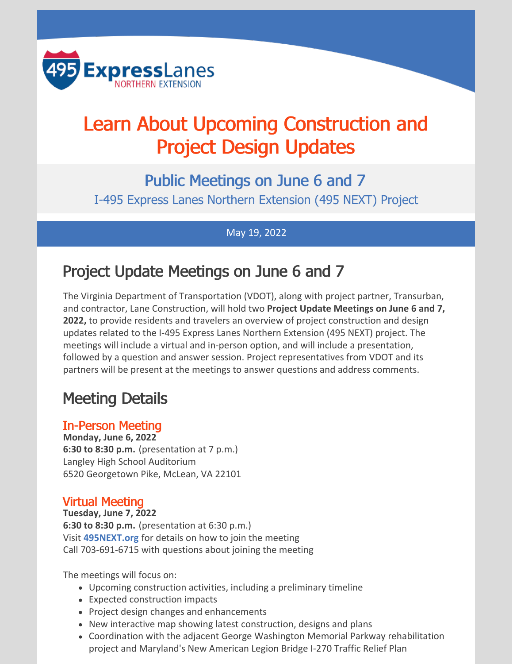

# Learn About Upcoming Construction and Project Design Updates

Public Meetings on June 6 and 7 I-495 Express Lanes Northern Extension (495 NEXT) Project

May 19, 2022

## Project Update Meetings on June 6 and 7

The Virginia Department of Transportation (VDOT), along with project partner, Transurban, and contractor, Lane Construction, will hold two **Project Update Meetings on June 6 and 7, 2022,** to provide residents and travelers an overview of project construction and design updates related to the I-495 Express Lanes Northern Extension (495 NEXT) project. The meetings will include a virtual and in-person option, and will include a presentation, followed by a question and answer session. Project representatives from VDOT and its partners will be present at the meetings to answer questions and address comments.

# Meeting Details

#### In-Person Meeting

**Monday, June 6, 2022 6:30 to 8:30 p.m.** (presentation at 7 p.m.) Langley High School Auditorium 6520 Georgetown Pike, McLean, VA 22101

#### Virtual Meeting

**Tuesday, June 7, 2022 6:30 to 8:30 p.m.** (presentation at 6:30 p.m.) Visit **[495NEXT.org](https://495next.org/public_meetings/)** for details on how to join the meeting Call 703-691-6715 with questions about joining the meeting

The meetings will focus on:

- Upcoming construction activities, including a preliminary timeline
- Expected construction impacts
- Project design changes and enhancements
- New interactive map showing latest construction, designs and plans
- Coordination with the adjacent George Washington Memorial Parkway rehabilitation project and Maryland's New American Legion Bridge I-270 Traffic Relief Plan